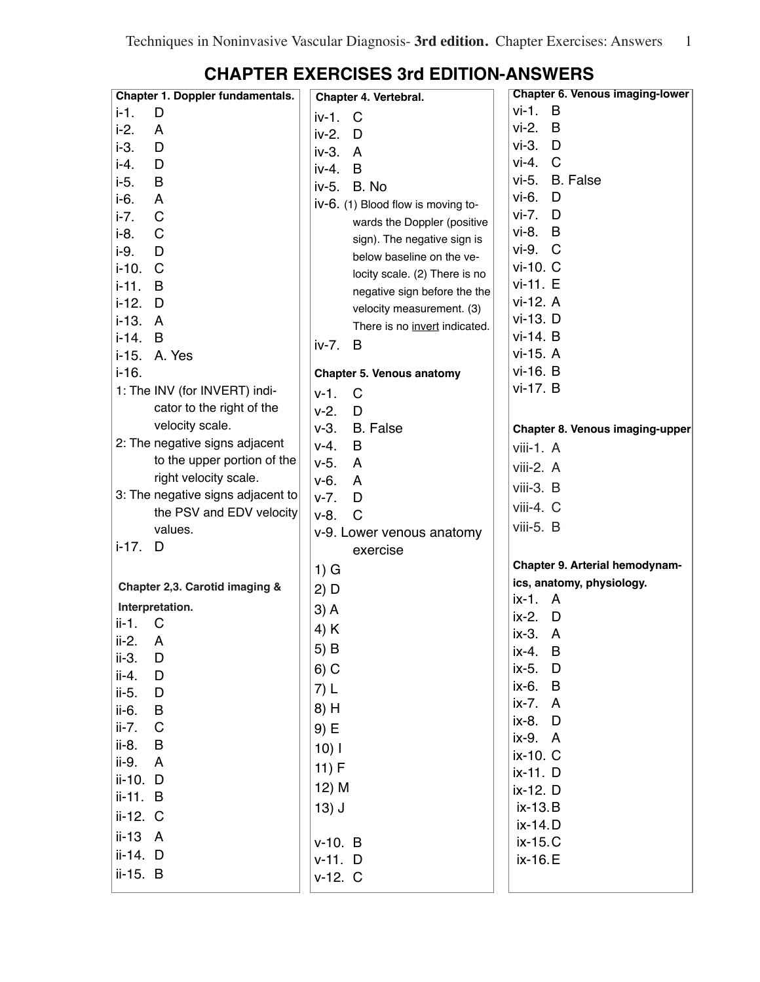| Chapter 1. Doppler fundamentals.  | Chapter 4. Vertebral.                                      | <b>Chapter 6. Venous imaging-lower</b> |
|-----------------------------------|------------------------------------------------------------|----------------------------------------|
| $i-1$ .<br>D                      | iv-1.<br>C                                                 | $vi-1. B$                              |
| $i-2$ .<br>A                      | $iv-2.$<br>D                                               | $vi-2.$<br>B                           |
| $i-3.$<br>D                       | $iv-3.$<br>$\overline{A}$                                  | $vi-3.$ $D$                            |
| i-4.<br>D                         | B<br>iv-4.                                                 | $vi-4$ . $C$                           |
| $i-5.$<br>B                       | iv-5.<br>B. No                                             | vi-5. B. False                         |
| i-6.<br>A                         | iv-6. (1) Blood flow is moving to-                         | vi-6.<br>D                             |
| C<br>$i-7.$                       | wards the Doppler (positive                                | vi-7. D                                |
| $i-8.$<br>C                       | sign). The negative sign is                                | $vi-8. B$                              |
| $i-9.$<br>D                       | below baseline on the ve-                                  | vi-9. C                                |
| $i-10.$<br>C                      |                                                            | vi-10. C                               |
| $i-11.$<br>B                      | locity scale. (2) There is no                              | vi-11. E                               |
| $i-12.$<br>D                      | negative sign before the the                               | vi-12. A                               |
| i-13. A                           | velocity measurement. (3)<br>There is no invert indicated. | vi-13. D                               |
| $i-14. B$                         |                                                            | vi-14. B                               |
| i-15. A. Yes                      | iv-7.<br>B                                                 | vi-15. A                               |
| $i - 16.$                         | Chapter 5. Venous anatomy                                  | vi-16. B                               |
| 1: The INV (for INVERT) indi-     | $v-1$ .<br>C                                               | vi-17. B                               |
| cator to the right of the         | $v-2.$<br>D                                                |                                        |
| velocity scale.                   | $v-3.$<br><b>B.</b> False                                  |                                        |
| 2: The negative signs adjacent    | $V-4.$<br>B                                                | Chapter 8. Venous imaging-upper        |
| to the upper portion of the       | $V-5.$<br>A                                                | $viii-1. A$                            |
| right velocity scale.             | v-6.                                                       | viii-2. A                              |
| 3: The negative signs adjacent to | A<br>D                                                     | viii-3. B                              |
| the PSV and EDV velocity          | $V - 7.$<br>$v-8.$<br>C                                    | viii-4. C                              |
| values.                           |                                                            | viii-5. B                              |
| $i - 17.$<br>D                    | v-9. Lower venous anatomy                                  |                                        |
|                                   | exercise                                                   | Chapter 9. Arterial hemodynam-         |
|                                   | $1)$ G                                                     | ics, anatomy, physiology.              |
| Chapter 2,3. Carotid imaging &    | $2)$ D                                                     | ix-1. A                                |
| Interpretation.                   | $3)$ A                                                     | $ix-2.$ D                              |
| $ii-1.$ C                         | 4) K                                                       | ix-3.<br>A                             |
| ii-2.<br>A                        | $5)$ B                                                     | ix-4. B                                |
| ii-3.<br>D                        | $6)$ C                                                     | ix-5. D                                |
| ii-4.<br>D                        |                                                            | ix-6. B                                |
| ii-5.<br>D                        | 7) L                                                       | ix-7. A                                |
| ii-6.<br>B                        | 8) H                                                       | ix-8. D                                |
| $\mathsf{C}$<br>ii-7.             | 9) E                                                       | ix-9. A                                |
| ii-8.<br>B                        | $10)$                                                      | ix-10. C                               |
| ii-9.<br>$\overline{A}$           | 11) F                                                      | ix-11. D                               |
| ii-10. D                          | 12) M                                                      | ix-12. D                               |
| ii-11. B                          | $13)$ J                                                    | ix-13.B                                |
| ii-12. C                          |                                                            | ix-14.D                                |
| ii-13 A                           | $v-10. B$                                                  | ix-15.C                                |
| ii-14. D                          | $v-11.$ D                                                  | ix-16.E                                |
| ii-15. B                          | $v-12. C$                                                  |                                        |
|                                   |                                                            |                                        |

## **CHAPTER EXERCISES 3rd EDITION-ANSWERS**